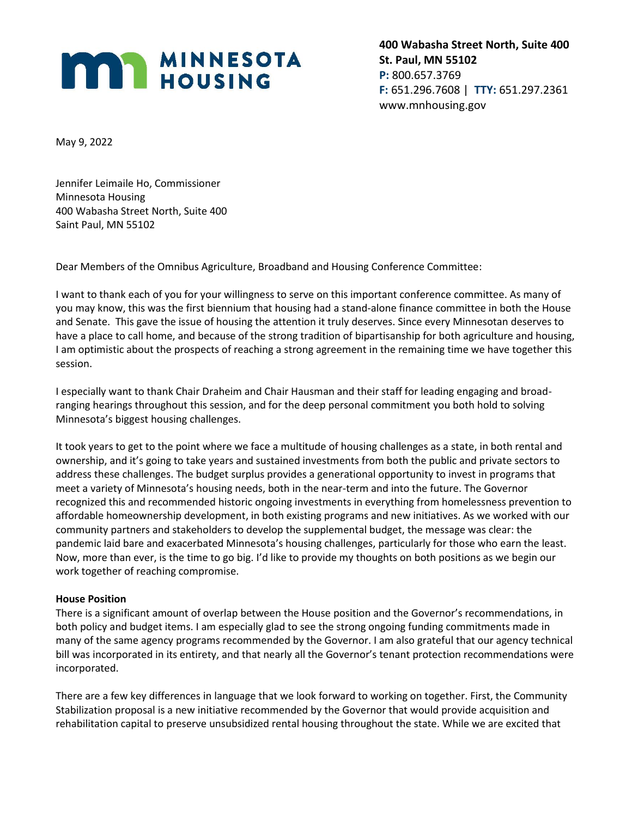# **MAN MINNESOTA**

**400 Wabasha Street North, Suite 400 St. Paul, MN 55102 P:** 800.657.3769 **F:** 651.296.7608 | **TTY:** 651.297.2361 www.mnhousing.gov

May 9, 2022

Jennifer Leimaile Ho, Commissioner Minnesota Housing 400 Wabasha Street North, Suite 400 Saint Paul, MN 55102

Dear Members of the Omnibus Agriculture, Broadband and Housing Conference Committee:

I want to thank each of you for your willingness to serve on this important conference committee. As many of you may know, this was the first biennium that housing had a stand-alone finance committee in both the House and Senate. This gave the issue of housing the attention it truly deserves. Since every Minnesotan deserves to have a place to call home, and because of the strong tradition of bipartisanship for both agriculture and housing, I am optimistic about the prospects of reaching a strong agreement in the remaining time we have together this session.

I especially want to thank Chair Draheim and Chair Hausman and their staff for leading engaging and broadranging hearings throughout this session, and for the deep personal commitment you both hold to solving Minnesota's biggest housing challenges.

It took years to get to the point where we face a multitude of housing challenges as a state, in both rental and ownership, and it's going to take years and sustained investments from both the public and private sectors to address these challenges. The budget surplus provides a generational opportunity to invest in programs that meet a variety of Minnesota's housing needs, both in the near-term and into the future. The Governor recognized this and recommended historic ongoing investments in everything from homelessness prevention to affordable homeownership development, in both existing programs and new initiatives. As we worked with our community partners and stakeholders to develop the supplemental budget, the message was clear: the pandemic laid bare and exacerbated Minnesota's housing challenges, particularly for those who earn the least. Now, more than ever, is the time to go big. I'd like to provide my thoughts on both positions as we begin our work together of reaching compromise.

## **House Position**

There is a significant amount of overlap between the House position and the Governor's recommendations, in both policy and budget items. I am especially glad to see the strong ongoing funding commitments made in many of the same agency programs recommended by the Governor. I am also grateful that our agency technical bill was incorporated in its entirety, and that nearly all the Governor's tenant protection recommendations were incorporated.

There are a few key differences in language that we look forward to working on together. First, the Community Stabilization proposal is a new initiative recommended by the Governor that would provide acquisition and rehabilitation capital to preserve unsubsidized rental housing throughout the state. While we are excited that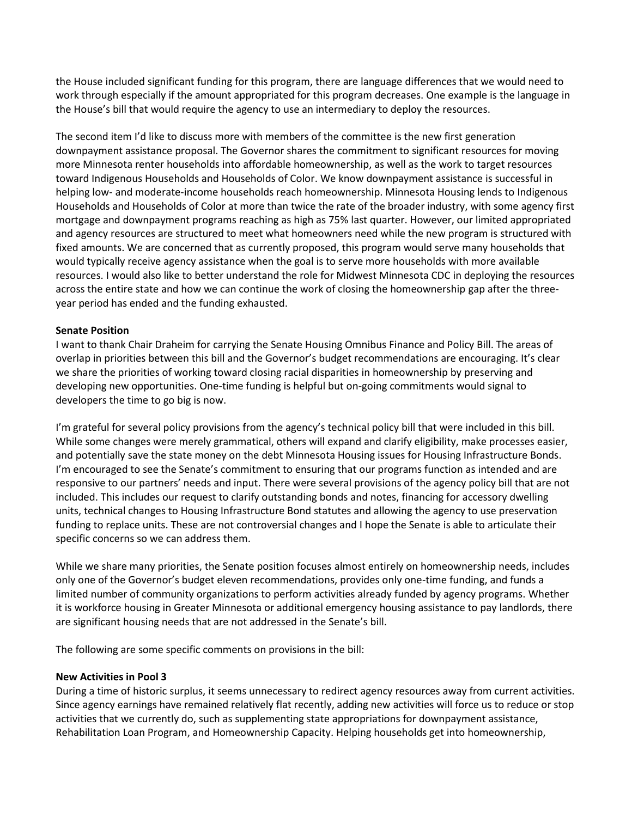the House included significant funding for this program, there are language differences that we would need to work through especially if the amount appropriated for this program decreases. One example is the language in the House's bill that would require the agency to use an intermediary to deploy the resources.

The second item I'd like to discuss more with members of the committee is the new first generation downpayment assistance proposal. The Governor shares the commitment to significant resources for moving more Minnesota renter households into affordable homeownership, as well as the work to target resources toward Indigenous Households and Households of Color. We know downpayment assistance is successful in helping low- and moderate-income households reach homeownership. Minnesota Housing lends to Indigenous Households and Households of Color at more than twice the rate of the broader industry, with some agency first mortgage and downpayment programs reaching as high as 75% last quarter. However, our limited appropriated and agency resources are structured to meet what homeowners need while the new program is structured with fixed amounts. We are concerned that as currently proposed, this program would serve many households that would typically receive agency assistance when the goal is to serve more households with more available resources. I would also like to better understand the role for Midwest Minnesota CDC in deploying the resources across the entire state and how we can continue the work of closing the homeownership gap after the threeyear period has ended and the funding exhausted.

## **Senate Position**

I want to thank Chair Draheim for carrying the Senate Housing Omnibus Finance and Policy Bill. The areas of overlap in priorities between this bill and the Governor's budget recommendations are encouraging. It's clear we share the priorities of working toward closing racial disparities in homeownership by preserving and developing new opportunities. One-time funding is helpful but on-going commitments would signal to developers the time to go big is now.

I'm grateful for several policy provisions from the agency's technical policy bill that were included in this bill. While some changes were merely grammatical, others will expand and clarify eligibility, make processes easier, and potentially save the state money on the debt Minnesota Housing issues for Housing Infrastructure Bonds. I'm encouraged to see the Senate's commitment to ensuring that our programs function as intended and are responsive to our partners' needs and input. There were several provisions of the agency policy bill that are not included. This includes our request to clarify outstanding bonds and notes, financing for accessory dwelling units, technical changes to Housing Infrastructure Bond statutes and allowing the agency to use preservation funding to replace units. These are not controversial changes and I hope the Senate is able to articulate their specific concerns so we can address them.

While we share many priorities, the Senate position focuses almost entirely on homeownership needs, includes only one of the Governor's budget eleven recommendations, provides only one-time funding, and funds a limited number of community organizations to perform activities already funded by agency programs. Whether it is workforce housing in Greater Minnesota or additional emergency housing assistance to pay landlords, there are significant housing needs that are not addressed in the Senate's bill.

The following are some specific comments on provisions in the bill:

#### **New Activities in Pool 3**

During a time of historic surplus, it seems unnecessary to redirect agency resources away from current activities. Since agency earnings have remained relatively flat recently, adding new activities will force us to reduce or stop activities that we currently do, such as supplementing state appropriations for downpayment assistance, Rehabilitation Loan Program, and Homeownership Capacity. Helping households get into homeownership,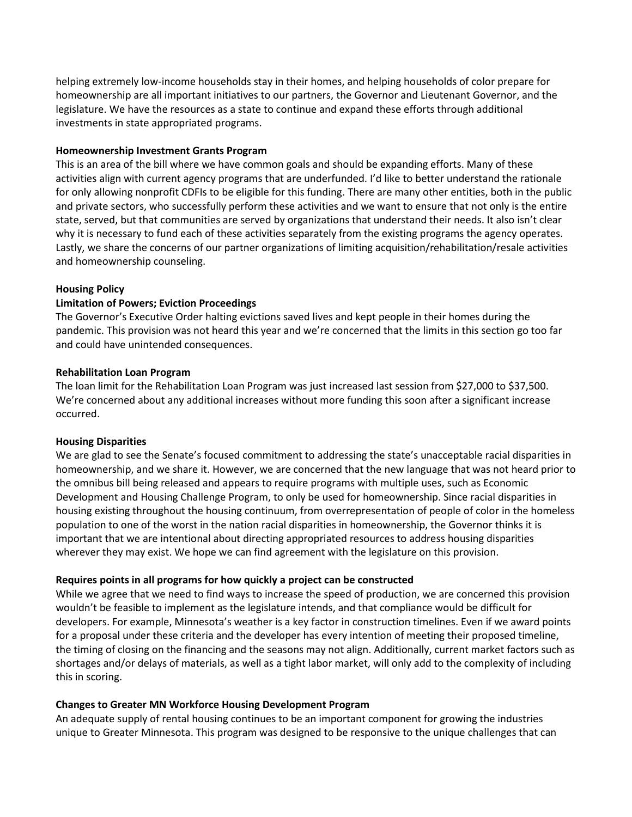helping extremely low-income households stay in their homes, and helping households of color prepare for homeownership are all important initiatives to our partners, the Governor and Lieutenant Governor, and the legislature. We have the resources as a state to continue and expand these efforts through additional investments in state appropriated programs.

## **Homeownership Investment Grants Program**

This is an area of the bill where we have common goals and should be expanding efforts. Many of these activities align with current agency programs that are underfunded. I'd like to better understand the rationale for only allowing nonprofit CDFIs to be eligible for this funding. There are many other entities, both in the public and private sectors, who successfully perform these activities and we want to ensure that not only is the entire state, served, but that communities are served by organizations that understand their needs. It also isn't clear why it is necessary to fund each of these activities separately from the existing programs the agency operates. Lastly, we share the concerns of our partner organizations of limiting acquisition/rehabilitation/resale activities and homeownership counseling.

## **Housing Policy**

## **Limitation of Powers; Eviction Proceedings**

The Governor's Executive Order halting evictions saved lives and kept people in their homes during the pandemic. This provision was not heard this year and we're concerned that the limits in this section go too far and could have unintended consequences.

#### **Rehabilitation Loan Program**

The loan limit for the Rehabilitation Loan Program was just increased last session from \$27,000 to \$37,500. We're concerned about any additional increases without more funding this soon after a significant increase occurred.

#### **Housing Disparities**

We are glad to see the Senate's focused commitment to addressing the state's unacceptable racial disparities in homeownership, and we share it. However, we are concerned that the new language that was not heard prior to the omnibus bill being released and appears to require programs with multiple uses, such as Economic Development and Housing Challenge Program, to only be used for homeownership. Since racial disparities in housing existing throughout the housing continuum, from overrepresentation of people of color in the homeless population to one of the worst in the nation racial disparities in homeownership, the Governor thinks it is important that we are intentional about directing appropriated resources to address housing disparities wherever they may exist. We hope we can find agreement with the legislature on this provision.

## **Requires points in all programs for how quickly a project can be constructed**

While we agree that we need to find ways to increase the speed of production, we are concerned this provision wouldn't be feasible to implement as the legislature intends, and that compliance would be difficult for developers. For example, Minnesota's weather is a key factor in construction timelines. Even if we award points for a proposal under these criteria and the developer has every intention of meeting their proposed timeline, the timing of closing on the financing and the seasons may not align. Additionally, current market factors such as shortages and/or delays of materials, as well as a tight labor market, will only add to the complexity of including this in scoring.

#### **Changes to Greater MN Workforce Housing Development Program**

An adequate supply of rental housing continues to be an important component for growing the industries unique to Greater Minnesota. This program was designed to be responsive to the unique challenges that can